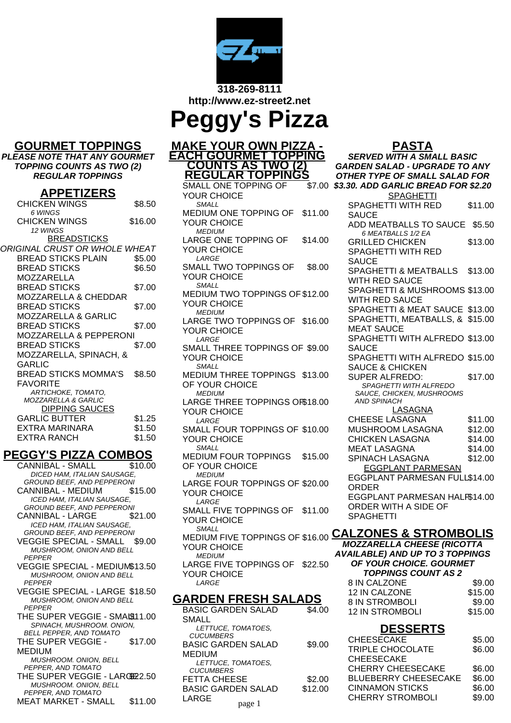

**http://www.ez-street2.net**

| <b>Peggy's Pizza</b> |  |
|----------------------|--|
|----------------------|--|

#### **GOURMET TOPPINGS**

**PLEASE NOTE THAT ANY GOURMET TOPPING COUNTS AS TWO (2) REGULAR TOPPINGS**

#### **APPETIZERS**

| .<br><u>.</u>                        |         |
|--------------------------------------|---------|
| <b>CHICKEN WINGS</b>                 | \$8.50  |
| 6 WINGS                              |         |
| CHICKEN WINGS                        | \$16.00 |
| 12 WINGS                             |         |
| <b>BREADSTICKS</b>                   |         |
| <i>ORIGINAL CRUST OR WHOLE WHEAT</i> |         |
| <b>BREAD STICKS PLAIN</b>            | \$5.00  |
| <b>BREAD STICKS</b>                  | \$6.50  |
| MOZZARELLA                           |         |
| <b>BREAD STICKS</b>                  | \$7.00  |
| <b>MOZZARELLA &amp; CHEDDAR</b>      |         |
| <b>BREAD STICKS</b>                  | \$7.00  |
| MOZZARELLA & GARLIC                  |         |
| <b>BREAD STICKS</b>                  | \$7.00  |
| MOZZARELLA & PEPPERONI               |         |
| <b>BREAD STICKS</b>                  | \$7.00  |
| MOZZARELLA, SPINACH, &               |         |
| GARLIC                               |         |
| <b>BREAD STICKS MOMMA'S</b>          | \$8.50  |
| <b>FAVORITE</b>                      |         |
| ARTICHOKE, TOMATO,                   |         |
| <b>MOZZARELLA &amp; GARLIC</b>       |         |
| <b>DIPPING SAUCES</b>                |         |
| GARLIC BUTTER                        | \$1.25  |
| EXTRA MARINARA                       | \$1.50  |
| EXTRA RANCH                          | \$1.50  |
|                                      |         |

## **PEGGY'S PIZZA COMBOS**

CANNIBAL - SMALL \$10.00 DICED HAM, ITALIAN SAUSAGE, GROUND BEEF, AND PEPPERONI CANNIBAL - MEDIUM \$15.00 ICED HAM, ITALIAN SAUSAGE, GROUND BEEF, AND PEPPERONI CANNIBAL - LARGE \$21.00 ICED HAM, ITALIAN SAUSAGE, GROUND BEEF, AND PEPPERONI VEGGIE SPECIAL - SMALL \$9.00 MUSHROOM, ONION AND BELL PEPPER VEGGIE SPECIAL - MEDIUM\$13.50 MUSHROOM, ONION AND BELL PEPPER VEGGIE SPECIAL - LARGE \$18.50 MUSHROOM, ONION AND BELL PEPPER THE SUPER VEGGIE - SMAI911.00 SPINACH, MUSHROOM. ONION, BELL PEPPER, AND TOMATO THE SUPER VEGGIE - MEDIUM \$17.00 MUSHROOM. ONION, BELL PEPPER, AND TOMATO THE SUPER VEGGIE - LARGE 2.50 MUSHROOM. ONION, BELL PEPPER, AND TOMATO MEAT MARKET - SMALL \$11.00

**MAKE YOUR OWN PIZZA - EACH GOURMET TOPPING COUNTS AS TWO (2) REGULAR TOPPINGS** SMALL ONE TOPPING OF YOUR CHOICE **SMALL** MEDIUM ONE TOPPING OF YOUR CHOICE \$11.00 MEDIUM LARGE ONE TOPPING OF YOUR CHOICE \$14.00 LARGE SMALL TWO TOPPINGS OF YOUR CHOICE \$8.00 SMALL MEDIUM TWO TOPPINGS OF \$12.00 YOUR CHOICE MEDIUM LARGE TWO TOPPINGS OF \$16.00 YOUR CHOICE LARGE SMALL THREE TOPPINGS OF \$9.00 YOUR CHOICE **SMALL** MEDIUM THREE TOPPINGS \$13.00 OF YOUR CHOICE MEDILIM LARGE THREE TOPPINGS OF \$18.00 YOUR CHOICE LARGE SMALL FOUR TOPPINGS OF \$10.00 YOUR CHOICE **SMALL** MEDIUM FOUR TOPPINGS OF YOUR CHOICE \$15.00 **MEDIUM** LARGE FOUR TOPPINGS OF \$20.00 YOUR CHOICE LARGE SMALL FIVE TOPPINGS OF YOUR CHOICE \$11.00 SMALL MEDIUM FIVE TOPPINGS OF \$16.00 **CALZONES & STROMBOLIS** YOUR CHOICE **MEDIUM** LARGE FIVE TOPPINGS OF \$22.50 YOUR CHOICE LARGE

## **GARDEN FRESH SALADS**

| BASIC GARDEN SALAD        | \$4.00  |
|---------------------------|---------|
| <b>SMALL</b>              |         |
| LETTUCE, TOMATOES,        |         |
| <b>CUCUMBERS</b>          |         |
| BASIC GARDEN SALAD        | \$9.00  |
| MEDIUM                    |         |
| LETTUCE. TOMATOES.        |         |
| <b>CUCUMBERS</b>          |         |
| <b>FETTA CHEESE</b>       | \$2.00  |
| <b>BASIC GARDEN SALAD</b> | \$12.00 |
| LARGE                     |         |
| page 1                    |         |

\$7.00 **\$3.30. ADD GARLIC BREAD FOR \$2.20 PASTA SERVED WITH A SMALL BASIC GARDEN SALAD - UPGRADE TO ANY OTHER TYPE OF SMALL SALAD FOR** SPAGHETTI SPAGHETTI WITH RED **SAUCE** \$11.00 ADD MEATBALLS TO SAUCE \$5.50 6 MEATBALLS 1/2 EA GRILLED CHICKEN SPAGHETTI WITH RED **SAUCE** \$13.00 SPAGHETTI & MEATBALLS WITH RED SAUCE \$13.00 SPAGHETTI & MUSHROOMS \$13.00 WITH RED SAUCE SPAGHETTI & MEAT SAUCE \$13.00 SPAGHETTI, MEATBALLS, & \$15.00 MEAT SAUCE SPAGHETTI WITH ALFREDO \$13.00 SAUCE SPAGHETTI WITH ALFREDO \$15.00 SAUCE & CHICKEN SUPER ALFREDO: \$17.00 SPAGHETTI WITH ALFREDO SAUCE, CHICKEN, MUSHROOMS AND SPINACH LASAGNA CHEESE LASAGNA \$11.00 MUSHROOM LASAGNA \$12.00 CHICKEN LASAGNA \$14.00 MEAT LASAGNA \$14.00 SPINACH LASAGNA \$12.00 EGGPLANT PARMESAN EGGPLANT PARMESAN FULL \$14.00 ORDER EGGPLANT PARMESAN HALF \$14.00 ORDER WITH A SIDE OF SPAGHETTI

**MOZZARELLA CHEESE (RICOTTA AVAILABLE) AND UP TO 3 TOPPINGS OF YOUR CHOICE. GOURMET TOPPINGS COUNT AS 2**

| 8 IN CALZONE         | \$9.00  |
|----------------------|---------|
| <b>12 IN CALZONE</b> | \$15.00 |
| 8 IN STROMBOLI       | \$9.00  |
| 12 IN STROMBOLI      | \$15.00 |
|                      |         |

# **DESSERTS**

| EN SALAD | \$9.00  | <b>CHEESECAKE</b>           | \$5.00 |
|----------|---------|-----------------------------|--------|
|          |         | <b>TRIPLE CHOCOLATE</b>     | \$6.00 |
| )MATOES. |         | <b>CHEESECAKE</b>           |        |
|          |         | <b>CHERRY CHEESECAKE</b>    | \$6.00 |
| SE       | \$2.00  | <b>BLUEBERRY CHEESECAKE</b> | \$6.00 |
| EN SALAD | \$12.00 | <b>CINNAMON STICKS</b>      | \$6.00 |
|          |         | <b>CHERRY STROMBOLI</b>     | \$9.00 |
| page 1   |         |                             |        |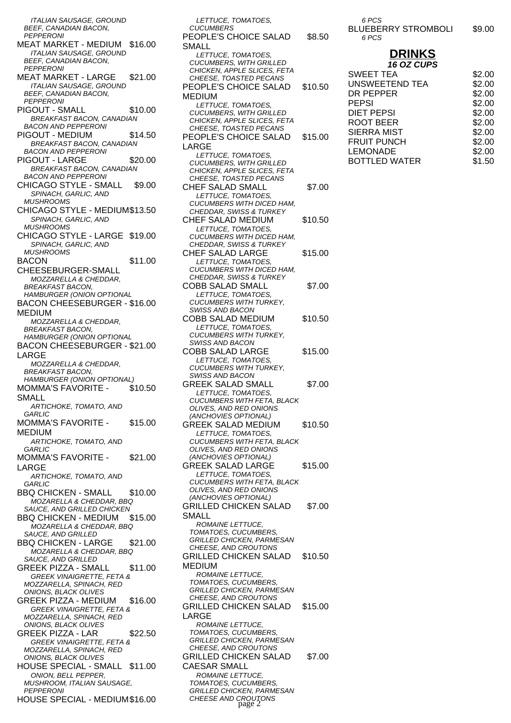ITALIAN SAUSAGE, GROUND BEEF, CANADIAN BACON, PEPPERONI MEAT MARKET - MEDIUM \$16.00 ITALIAN SAUSAGE, GROUND BEEF, CANADIAN BACON, PEPPERONI MEAT MARKET - LARGE \$21.00 ITALIAN SAUSAGE, GROUND BEEF, CANADIAN BACON, **PEPPERONI** PIGOUT - SMALL \$10.00 BREAKFAST BACON, CANADIAN BACON AND PEPPERONI PIGOUT - MEDIUM \$14.50 BREAKFAST BACON, CANADIAN BACON AND PEPPERONI PIGOUT - LARGE \$20.00 BREAKFAST BACON, CANADIAN BACON AND PEPPERONI CHICAGO STYLE - SMALL \$9.00 SPINACH, GARLIC, AND **MUSHROOMS** CHICAGO STYLE - MEDIUM\$13.50 SPINACH, GARLIC, AND **MUSHROOMS** CHICAGO STYLE - LARGE \$19.00 SPINACH, GARLIC, AND MUSHROOMS BACON CHEESEBURGER-SMALL \$11.00 MOZZARELLA & CHEDDAR, BREAKFAST BACON, HAMBURGER (ONION OPTIONAL BACON CHEESEBURGER - \$16.00 MEDIUM MOZZARELLA & CHEDDAR, BREAKFAST BACON, HAMBURGER (ONION OPTIONAL BACON CHEESEBURGER - \$21.00 LARGE MOZZARELLA & CHEDDAR, BREAKFAST BACON, HAMBURGER (ONION OPTIONAL) MOMMA'S FAVORITE - SMALL \$10.50 ARTICHOKE, TOMATO, AND **GARLIC** MOMMA'S FAVORITE - MEDIUM \$15.00 ARTICHOKE, TOMATO, AND **GARLIC** MOMMA'S FAVORITE - LARGE \$21.00 ARTICHOKE, TOMATO, AND **GARLIC** BBQ CHICKEN - SMALL \$10.00 MOZARELLA & CHEDDAR, BBQ SAUCE, AND GRILLED CHICKEN BBQ CHICKEN - MEDIUM \$15.00 MOZARELLA & CHEDDAR, BBQ SAUCE, AND GRILLED BBQ CHICKEN - LARGE \$21.00 MOZARELLA & CHEDDAR, BBQ SAUCE, AND GRILLED GREEK PIZZA - SMALL \$11.00 GREEK VINAIGRETTE, FETA & MOZZARELLA, SPINACH, RED ONIONS, BLACK OLIVES GREEK PIZZA - MEDIUM \$16.00 GREEK VINAIGRETTE, FETA & MOZZARELLA, SPINACH, RED ONIONS, BLACK OLIVES GREEK PIZZA - LAR \$22.50 GREEK VINAIGRETTE, FETA & MOZZARELLA, SPINACH, RED ONIONS, BLACK OLIVES HOUSE SPECIAL - SMALL \$11.00 ONION, BELL PEPPER, MUSHROOM, ITALIAN SAUSAGE, PEPPERONI HOUSE SPECIAL - MEDIUM\$16.00

LETTUCE, TOMATOES, **CUCUMBERS** PEOPLE'S CHOICE SALAD SMALL \$8.50 LETTUCE, TOMATOES CUCUMBERS, WITH GRILLED CHICKEN, APPLE SLICES, FETA CHEESE, TOASTED PECANS PEOPLE'S CHOICE SALAD MEDIUM \$10.50 LETTUCE, TOMATOES CUCUMBERS, WITH GRILLED CHICKEN, APPLE SLICES, FETA CHEESE, TOASTED PECANS PEOPLE'S CHOICE SALAD LARGE \$15.00 LETTUCE, TOMATOES, CUCUMBERS, WITH GRILLED CHICKEN, APPLE SLICES, FETA CHEESE, TOASTED PECANS CHEF SALAD SMALL \$7.00 LETTUCE, TOMATOES, CUCUMBERS WITH DICED HAM, CHEDDAR, SWISS & TURKEY CHEF SALAD MEDIUM \$10.50 LETTUCE, TOMATOES, CUCUMBERS WITH DICED HAM, CHEDDAR, SWISS & TURKEY CHEF SALAD LARGE \$15.00 LETTUCE, TOMATOES CUCUMBERS WITH DICED HAM, CHEDDAR, SWISS & TURKEY COBB SALAD SMALL \$7.00 LETTUCE, TOMATOES CUCUMBERS WITH TURKEY SWISS AND BACON COBB SALAD MEDIUM \$10.50 LETTUCE, TOMATOES CUCUMBERS WITH TURKEY, SWISS AND BACON COBB SALAD LARGE \$15.00 LETTUCE, TOMATOES, CUCUMBERS WITH TURKEY, SWISS AND BACON GREEK SALAD SMALL \$7.00 LETTUCE, TOMATOES, CUCUMBERS WITH FETA, BLACK OLIVES, AND RED ONIONS (ANCHOVIES OPTIONAL) GREEK SALAD MEDIUM \$10.50 LETTUCE, TOMATOES, CUCUMBERS WITH FETA, BLACK OLIVES, AND RED ONIONS (ANCHOVIES OPTIONAL) GREEK SALAD LARGE \$15.00 LETTUCE, TOMATOES, CUCUMBERS WITH FETA, BLACK OLIVES, AND RED ONIONS (ANCHOVIES OPTIONAL) GRILLED CHICKEN SALAD SMALL \$7.00 ROMAINE LETTUCE, TOMATOES, CUCUMBERS, GRILLED CHICKEN, PARMESAN CHEESE, AND CROUTONS GRILLED CHICKEN SALAD MEDIUM \$10.50 ROMAINE LETTUCE, TOMATOES, CUCUMBERS, GRILLED CHICKEN, PARMESAN CHEESE, AND CROUTONS GRILLED CHICKEN SALAD LARGE \$15.00 ROMAINE LETTUCE, TOMATOES, CUCUMBERS, GRILLED CHICKEN, PARMESAN CHEESE, AND CROUTONS GRILLED CHICKEN SALAD CAESAR SMALL \$7.00 ROMAINE LETTUCE, TOMATOES, CUCUMBERS, GRILLED CHICKEN, PARMESAN CHEESE AND CROUTONS page 2

6 PCS BLUEBERRY STROMBOLI \$9.00 6 PCS

#### **DRINKS 16 OZ CUPS**

| ט זשע טו              |        |
|-----------------------|--------|
| <b>SWEET TEA</b>      | \$2.00 |
| <b>UNSWEETEND TEA</b> | \$2.00 |
| DR PEPPER             | \$2.00 |
| <b>PEPSI</b>          | \$2.00 |
| <b>DIET PEPSI</b>     | \$2.00 |
| ROOT BEER             | \$2.00 |
| <b>SIERRA MIST</b>    | \$2.00 |
| <b>FRUIT PUNCH</b>    | \$2.00 |
| <b>LEMONADE</b>       | \$2.00 |
| <b>BOTTLED WATER</b>  | \$1.50 |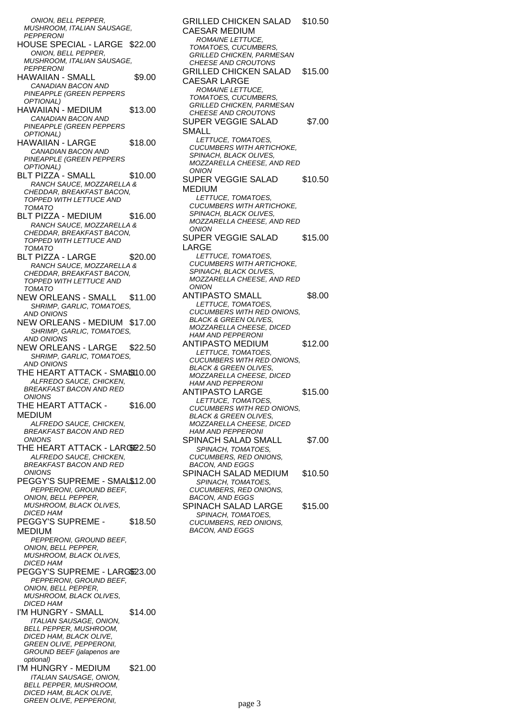ONION, BELL PEPPER, MUSHROOM, ITALIAN SAUSAGE, PEPPERONI HOUSE SPECIAL - LARGE \$22.00 ONION, BELL PEPPER, MUSHROOM, ITALIAN SAUSAGE, PEPPERONI HAWAIIAN - SMALL \$9.00 CANADIAN BACON AND PINEAPPLE (GREEN PEPPERS OPTIONAL) HAWAIIAN - MEDIUM \$13.00 CANADIAN BACON AND PINEAPPLE (GREEN PEPPERS OPTIONAL) HAWAIIAN - LARGE \$18.00 CANADIAN BACON AND PINEAPPLE (GREEN PEPPERS OPTIONAL) BLT PIZZA - SMALL \$10.00 RANCH SAUCE, MOZZARELLA & CHEDDAR, BREAKFAST BACON, TOPPED WITH LETTUCE AND **TOMATO** BLT PIZZA - MEDIUM \$16.00 RANCH SAUCE, MOZZARELLA & CHEDDAR, BREAKFAST BACON, TOPPED WITH LETTUCE AND TOMATO BLT PIZZA - LARGE \$20.00 RANCH SAUCE, MOZZARELLA & CHEDDAR, BREAKFAST BACON, TOPPED WITH LETTUCE AND TOMATO NEW ORLEANS - SMALL \$11.00 SHRIMP, GARLIC, TOMATOES, AND ONIONS NEW ORLEANS - MEDIUM \$17.00 SHRIMP, GARLIC, TOMATOES, AND ONIONS NEW ORLEANS - LARGE \$22.50 SHRIMP, GARLIC, TOMATOES, AND ONIONS THE HEART ATTACK - SMASS10.00 ALFREDO SAUCE, CHICKEN, BREAKFAST BACON AND RED **ONIONS** THE HEART ATTACK - MEDIUM \$16.00 ALFREDO SAUCE, CHICKEN, BREAKFAST BACON AND RED **ONIONS** THE HEART ATTACK - LARGS 2.50 ALFREDO SAUCE, CHICKEN, BREAKFAST BACON AND RED ONIONS PEGGY'S SUPREME - SMAL\$12.00 PEPPERONI, GROUND BEEF, ONION, BELL PEPPER MUSHROOM, BLACK OLIVES, DICED HAM PEGGY'S SUPREME - MEDIUM \$18.50 PEPPERONI, GROUND BEEF, ONION, BELL PEPPER, MUSHROOM, BLACK OLIVES, DICED HAM PEGGY'S SUPREME - LARGE23.00 PEPPERONI, GROUND BEEF, ONION, BELL PEPPER, MUSHROOM, BLACK OLIVES, DICED HAM I'M HUNGRY - SMALL \$14.00 ITALIAN SAUSAGE, ONION, BELL PEPPER, MUSHROOM, DICED HAM, BLACK OLIVE, GREEN OLIVE, PEPPERONI, GROUND BEEF (jalapenos are optional) I'M HUNGRY - MEDIUM \$21.00 ITALIAN SAUSAGE, ONION, BELL PEPPER, MUSHROOM, DICED HAM, BLACK OLIVE,

GREEN OLIVE, PEPPERONI,

GRILLED CHICKEN SALAD CAESAR MEDIUM \$10.50 ROMAINE LETTUCE, TOMATOES, CUCUMBERS, GRILLED CHICKEN, PARMESAN CHEESE AND CROUTONS GRILLED CHICKEN SALAD CAESAR LARGE \$15.00 ROMAINE LETTUCE, TOMATOES, CUCUMBERS, GRILLED CHICKEN, PARMESAN CHEESE AND CROUTONS SUPER VEGGIE SALAD SMALL \$7.00 LETTUCE, TOMATOES, CUCUMBERS WITH ARTICHOKE, SPINACH, BLACK OLIVES, MOZZARELLA CHEESE, AND RED **ONION** SUPER VEGGIE SALAD MEDIUM \$10.50 LETTUCE, TOMATOES. CUCUMBERS WITH ARTICHOKE, SPINACH, BLACK OLIVES, MOZZARELLA CHEESE, AND RED **ONION** SUPER VEGGIE SALAD LARGE \$15.00 LETTUCE, TOMATOES, CUCUMBERS WITH ARTICHOKE, SPINACH, BLACK OLIVES, MOZZARELLA CHEESE, AND RED **ONION** ANTIPASTO SMALL \$8.00 LETTUCE, TOMATOES, CUCUMBERS WITH RED ONIONS, **BLACK & GREEN OLIVES** MOZZARELLA CHEESE, DICED HAM AND PEPPERONI ANTIPASTO MEDIUM \$12.00 LETTUCE, TOMATOES CUCUMBERS WITH RED ONIONS, BLACK & GREEN OLIVES, MOZZARELLA CHEESE, DICED HAM AND PEPPERONI ANTIPASTO LARGE \$15.00 LETTUCE, TOMATOES, CUCUMBERS WITH RED ONIONS, BLACK & GREEN OLIVES, MOZZARELLA CHEESE, DICED HAM AND PEPPERONI SPINACH SALAD SMALL \$7.00 SPINACH, TOMATOES CUCUMBERS, RED ONIONS, BACON, AND EGGS SPINACH SALAD MEDIUM \$10.50 SPINACH, TOMATOES, CUCUMBERS, RED ONIONS, BACON, AND EGGS SPINACH SALAD LARGE \$15.00 SPINACH, TOMATOES CUCUMBERS, RED ONIONS, BACON, AND EGGS